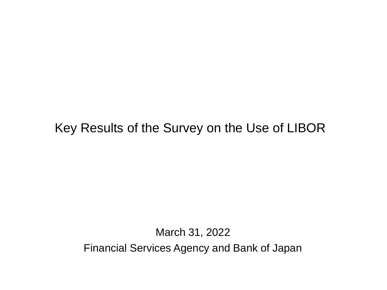# Key Results of the Survey on the Use of LIBOR

March 31, 2022 Financial Services Agency and Bank of Japan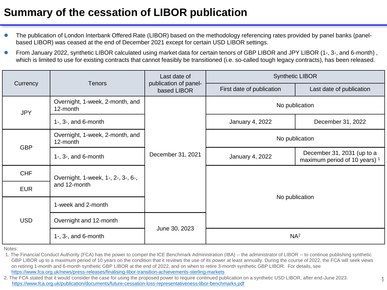## **Summary of the cessation of LIBOR publication**

- The publication of London Interbank Offered Rate (LIBOR) based on the methodology referencing rates provided by panel banks (panelbased LIBOR) was ceased at the end of December 2021 except for certain USD LIBOR settings.
- From January 2022, synthetic LIBOR calculated using market data for certain tenors of GBP LIBOR and JPY LIBOR (1-, 3-, and 6-month) , which is limited to use for existing contracts that cannot feasibly be transitioned (i.e. so-called tough legacy contracts), has been released.

|                          |                                             | Last date of                         | <b>Synthetic LIBOR</b>    |                                                                        |  |  |  |  |
|--------------------------|---------------------------------------------|--------------------------------------|---------------------------|------------------------------------------------------------------------|--|--|--|--|
| Currency                 | <b>Tenors</b>                               | publication of panel-<br>based LIBOR | First date of publication | Last date of publication                                               |  |  |  |  |
| <b>JPY</b><br><b>GBP</b> | Overnight, 1-week, 2-month, and<br>12-month |                                      | No publication            |                                                                        |  |  |  |  |
|                          | $1-$ , $3-$ , and $6$ -month                |                                      | <b>January 4, 2022</b>    | December 31, 2022                                                      |  |  |  |  |
|                          | Overnight, 1-week, 2-month, and<br>12-month |                                      | No publication            |                                                                        |  |  |  |  |
|                          | $1-$ , $3-$ , and $6$ -month                | December 31, 2021                    | January 4, 2022           | December 31, 2031 (up to a<br>maximum period of 10 years) <sup>1</sup> |  |  |  |  |
| <b>CHF</b>               | Overnight, 1-week, 1-, 2-, 3-, 6-,          |                                      |                           |                                                                        |  |  |  |  |
| <b>EUR</b>               | and 12-month                                |                                      | No publication            |                                                                        |  |  |  |  |
|                          | 1-week and 2-month                          |                                      |                           |                                                                        |  |  |  |  |
| <b>USD</b>               | Overnight and 12-month                      |                                      |                           |                                                                        |  |  |  |  |
|                          | $1-$ , $3-$ , and $6-$ month                | June 30, 2023                        | NA <sup>2</sup>           |                                                                        |  |  |  |  |

Notes:

1. The Financial Conduct Authority (FCA) has the power to compel the ICE Benchmark Administration (IBA) -- the administrator of LIBOR -- to continue publishing synthetic GBP LIBOR up to a maximum period of 10 years on the condition that it reviews the use of its power at least annually. During the course of 2022, the FCA will seek views on retiring 1-month and 6-month synthetic GBP LIBOR at the end of 2022, and on when to retire 3-month synthetic GBP LIBOR. For details, see <https://www.fca.org.uk/news/press-releases/finalising-libor-transition-achievements-sterling-markets>

2. The FCA stated that it would consider the case for using the proposed power to require continued publication on a synthetic USD LIBOR, after end-June 2023.<br>https://www.fca.org.uk/publication/documents/future-cessation-l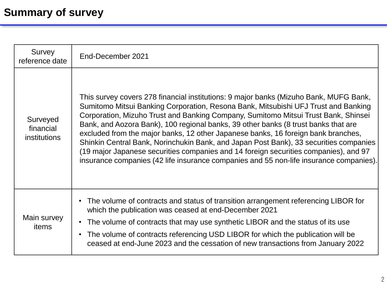| Survey<br>reference date                     | End-December 2021                                                                                                                                                                                                                                                                                                                                                                                                                                                                                                                                                                                                                                                                                                       |
|----------------------------------------------|-------------------------------------------------------------------------------------------------------------------------------------------------------------------------------------------------------------------------------------------------------------------------------------------------------------------------------------------------------------------------------------------------------------------------------------------------------------------------------------------------------------------------------------------------------------------------------------------------------------------------------------------------------------------------------------------------------------------------|
| Surveyed<br>financial<br><i>institutions</i> | This survey covers 278 financial institutions: 9 major banks (Mizuho Bank, MUFG Bank,<br>Sumitomo Mitsui Banking Corporation, Resona Bank, Mitsubishi UFJ Trust and Banking<br>Corporation, Mizuho Trust and Banking Company, Sumitomo Mitsui Trust Bank, Shinsei<br>Bank, and Aozora Bank), 100 regional banks, 39 other banks (8 trust banks that are<br>excluded from the major banks, 12 other Japanese banks, 16 foreign bank branches,<br>Shinkin Central Bank, Norinchukin Bank, and Japan Post Bank), 33 securities companies<br>(19 major Japanese securities companies and 14 foreign securities companies), and 97<br>insurance companies (42 life insurance companies and 55 non-life insurance companies). |
| Main survey<br>items                         | The volume of contracts and status of transition arrangement referencing LIBOR for<br>$\bullet$<br>which the publication was ceased at end-December 2021<br>The volume of contracts that may use synthetic LIBOR and the status of its use<br>$\bullet$<br>The volume of contracts referencing USD LIBOR for which the publication will be<br>$\bullet$<br>ceased at end-June 2023 and the cessation of new transactions from January 2022                                                                                                                                                                                                                                                                              |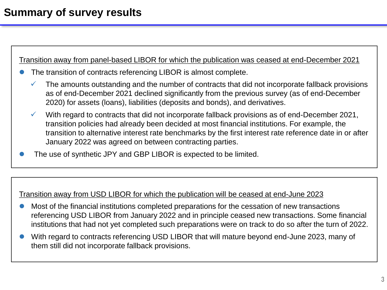## **Summary of survey results**

Transition away from panel-based LIBOR for which the publication was ceased at end-December 2021

- The transition of contracts referencing LIBOR is almost complete.
	- $\checkmark$  The amounts outstanding and the number of contracts that did not incorporate fallback provisions as of end-December 2021 declined significantly from the previous survey (as of end-December 2020) for assets (loans), liabilities (deposits and bonds), and derivatives.
	- $\checkmark$  With regard to contracts that did not incorporate fallback provisions as of end-December 2021, transition policies had already been decided at most financial institutions. For example, the transition to alternative interest rate benchmarks by the first interest rate reference date in or after January 2022 was agreed on between contracting parties.
- The use of synthetic JPY and GBP LIBOR is expected to be limited.

#### Transition away from USD LIBOR for which the publication will be ceased at end-June 2023

- Most of the financial institutions completed preparations for the cessation of new transactions referencing USD LIBOR from January 2022 and in principle ceased new transactions. Some financial institutions that had not yet completed such preparations were on track to do so after the turn of 2022.
- With regard to contracts referencing USD LIBOR that will mature beyond end-June 2023, many of them still did not incorporate fallback provisions.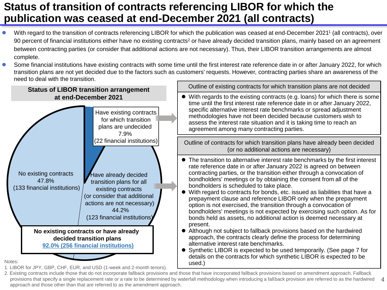## **Status of transition of contracts referencing LIBOR for which the publication was ceased at end-December 2021 (all contracts)**

- With regard to the transition of contracts referencing LIBOR for which the publication was ceased at end-December 2021<sup>1</sup> (all contracts), over 90 percent of financial institutions either have no existing contracts<sup>2</sup> or have already decided transition plans, mainly based on an agreement between contracting parties (or consider that additional actions are not necessary). Thus, their LIBOR transition arrangements are almost complete.
- Some financial institutions have existing contracts with some time until the first interest rate reference date in or after January 2022, for which transition plans are not yet decided due to the factors such as customers' requests. However, contracting parties share an awareness of the need to deal with the transition.



1. LIBOR for JPY, GBP, CHF, EUR, and USD (1-week and 2-month tenors).

provisions that specify a single replacement rate or a rate to be determined by waterfall methodology when introducing a fallback provision are referred to as the hardwired 4 2. Existing contracts include those that do not incorporate fallback provisions and those that have incorporated fallback provisions based on amendment approach. Fallback approach and those other than that are referred to as the amendment approach.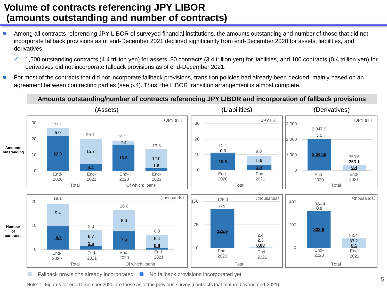### **Volume of contracts referencing JPY LIBOR (amounts outstanding and number of contracts)**

- Among all contracts referencing JPY LIBOR of surveyed financial institutions, the amounts outstanding and number of those that did not incorporate fallback provisions as of end-December 2021 declined significantly from end-December 2020 for assets, liabilities, and derivatives.
	- $\checkmark$  1,500 outstanding contracts (4.4 trillion yen) for assets, 80 contracts (3.4 trillion yen) for liabilities, and 100 contracts (0.4 trillion yen) for derivatives did not incorporate fallback provisions as of end-December 2021.
- **•** For most of the contracts that did not incorporate fallback provisions, transition policies had already been decided, mainly based on an agreement between contracting parties (see p.4). Thus, the LIBOR transition arrangement is almost complete.

#### **Amounts outstanding/number of contracts referencing JPY LIBOR and incorporation of fallback provisions**



Fallback provisions already incorporated ■ No fallback provisions incorporated yet

Note: 1. Figures for end-December 2020 are those as of the previous survey (contracts that mature beyond end-2021).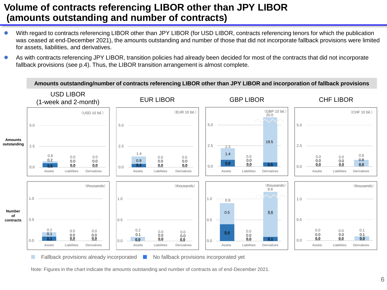## **Volume of contracts referencing LIBOR other than JPY LIBOR (amounts outstanding and number of contracts)**

- With regard to contracts referencing LIBOR other than JPY LIBOR (for USD LIBOR, contracts referencing tenors for which the publication was ceased at end-December 2021), the amounts outstanding and number of those that did not incorporate fallback provisions were limited for assets, liabilities, and derivatives.
- As with contracts referencing JPY LIBOR, transition policies had already been decided for most of the contracts that did not incorporate fallback provisions (see p.4). Thus, the LIBOR transition arrangement is almost complete.



■ Fallback provisions already incorporated ■ No fallback provisions incorporated yet

Note: Figures in the chart indicate the amounts outstanding and number of contracts as of end-December 2021.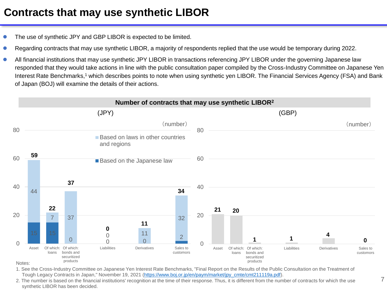## **Contracts that may use synthetic LIBOR**

- The use of synthetic JPY and GBP LIBOR is expected to be limited.
- Regarding contracts that may use synthetic LIBOR, a majority of respondents replied that the use would be temporary during 2022.
- All financial institutions that may use synthetic JPY LIBOR in transactions referencing JPY LIBOR under the governing Japanese law responded that they would take actions in line with the public consultation paper compiled by the Cross-Industry Committee on Japanese Yen Interest Rate Benchmarks,<sup>1</sup> which describes points to note when using synthetic yen LIBOR. The Financial Services Agency (FSA) and Bank of Japan (BOJ) will examine the details of their actions.



1. See the Cross-Industry Committee on Japanese Yen Interest Rate Benchmarks, "Final Report on the Results of the Public Consultation on the Treatment of Tough Legacy Contracts in Japan," November 19, 2021 [\(https://www.boj.or.jp/en/paym/market/jpy\\_cmte/cmt211119a.pdf](https://www.boj.or.jp/en/paym/market/jpy_cmte/cmt211119a.pdf)).

2. The number is based on the financial institutions' recognition at the time of their response. Thus, it is different from the number of contracts for which the use synthetic LIBOR has been decided.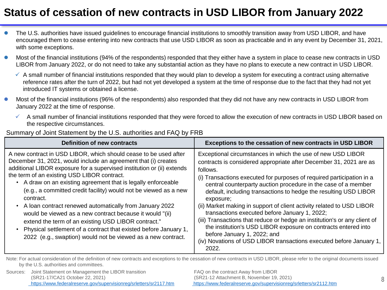# **Status of cessation of new contracts in USD LIBOR from January 2022**

- The U.S. authorities have issued guidelines to encourage financial institutions to smoothly transition away from USD LIBOR, and have encouraged them to cease entering into new contracts that use USD LIBOR as soon as practicable and in any event by December 31, 2021, with some exceptions.
- Most of the financial institutions (94% of the respondents) responded that they either have a system in place to cease new contracts in USD LIBOR from January 2022, or do not need to take any substantial action as they have no plans to execute a new contract in USD LIBOR.
	- $\checkmark$  A small number of financial institutions responded that they would plan to develop a system for executing a contract using alternative reference rates after the turn of 2022, but had not yet developed a system at the time of response due to the fact that they had not yet introduced IT systems or obtained a license.
- Most of the financial institutions (96% of the respondents) also responded that they did not have any new contracts in USD LIBOR from January 2022 at the time of response.
	- $\checkmark$  A small number of financial institutions responded that they were forced to allow the execution of new contracts in USD LIBOR based on the respective circumstances.

| <b>Definition of new contracts</b>                                                                                                                                                                                                                                                                                                                                                                                                                                                                                                                                                                                                                                                                                                | Exceptions to the cessation of new contracts in USD LIBOR                                                                                                                                                                                                                                                                                                                                                                                                                                                                                                                                                                                                                                                                                                         |
|-----------------------------------------------------------------------------------------------------------------------------------------------------------------------------------------------------------------------------------------------------------------------------------------------------------------------------------------------------------------------------------------------------------------------------------------------------------------------------------------------------------------------------------------------------------------------------------------------------------------------------------------------------------------------------------------------------------------------------------|-------------------------------------------------------------------------------------------------------------------------------------------------------------------------------------------------------------------------------------------------------------------------------------------------------------------------------------------------------------------------------------------------------------------------------------------------------------------------------------------------------------------------------------------------------------------------------------------------------------------------------------------------------------------------------------------------------------------------------------------------------------------|
| A new contract in USD LIBOR, which should cease to be used after<br>December 31, 2021, would include an agreement that (i) creates<br>additional LIBOR exposure for a supervised institution or (ii) extends<br>the term of an existing USD LIBOR contract.<br>• A draw on an existing agreement that is legally enforceable<br>(e.g., a committed credit facility) would not be viewed as a new<br>contract.<br>• A loan contract renewed automatically from January 2022<br>would be viewed as a new contract because it would "(ii)<br>extend the term of an existing USD LIBOR contract."<br>Physical settlement of a contract that existed before January 1,<br>2022 (e.g., swaption) would not be viewed as a new contract. | Exceptional circumstances in which the use of new USD LIBOR<br>contracts is considered appropriate after December 31, 2021 are as<br>follows.<br>(i) Transactions executed for purposes of required participation in a<br>central counterparty auction procedure in the case of a member<br>default, including transactions to hedge the resulting USD LIBOR<br>exposure;<br>(ii) Market making in support of client activity related to USD LIBOR<br>transactions executed before January 1, 2022;<br>(iii) Transactions that reduce or hedge an institution's or any client of<br>the institution's USD LIBOR exposure on contracts entered into<br>before January 1, 2022; and<br>(iv) Novations of USD LIBOR transactions executed before January 1,<br>2022. |

#### Summary of Joint Statement by the U.S. authorities and FAQ by FRB

Note: For actual consideration of the definition of new contracts and exceptions to the cessation of new contracts in USD LIBOR, please refer to the original documents issued by the U.S. authorities and committees.

Sources: Joint Statement on Management the LIBOR transition (SR21-17/CA21 October 22, 2021) <https://www.federalreserve.gov/supervisionreg/srletters/sr2117.htm>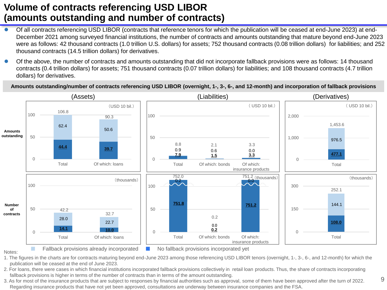## **Volume of contracts referencing USD LIBOR (amounts outstanding and number of contracts)**

- Of all contracts referencing USD LIBOR (contracts that reference tenors for which the publication will be ceased at end-June 2023) at end-December 2021 among surveyed financial institutions, the number of contracts and amounts outstanding that mature beyond end-June 2023 were as follows: 42 thousand contracts (1.0 trillion U.S. dollars) for assets; 752 thousand contracts (0.08 trillion dollars) for liabilities; and 252 thousand contracts (14.5 trillion dollars) for derivatives.
- Of the above, the number of contracts and amounts outstanding that did not incorporate fallback provisions were as follows: 14 thousand contracts (0.4 trillion dollars) for assets; 751 thousand contracts (0.07 trillion dollars) for liabilities; and 108 thousand contracts (4.7 trillion dollars) for derivatives.

**Amounts outstanding/number of contracts referencing USD LIBOR (overnight, 1-, 3-, 6-, and 12-month) and incorporation of fallback provisions**



1. The figures in the charts are for contracts maturing beyond end-June 2023 among those referencing USD LIBOR tenors (overnight, 1-, 3-, 6-, and 12-month) for which the publication will be ceased at the end of June 2023.

2. For loans, there were cases in which financial institutions incorporated fallback provisions collectively in retail loan products. Thus, the share of contracts incorporating fallback provisions is higher in terms of the number of contracts than in terms of the amount outstanding.

3. As for most of the insurance products that are subject to responses by financial authorities such as approval, some of them have been approved after the turn of 2022. Regarding insurance products that have not yet been approved, consultations are underway between insurance companies and the FSA.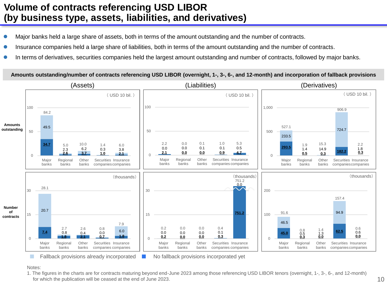## **Volume of contracts referencing USD LIBOR (by business type, assets, liabilities, and derivatives)**

- Major banks held a large share of assets, both in terms of the amount outstanding and the number of contracts.
- Insurance companies held a large share of liabilities, both in terms of the amount outstanding and the number of contracts.
- In terms of derivatives, securities companies held the largest amount outstanding and number of contracts, followed by major banks.

**Amounts outstanding/number of contracts referencing USD LIBOR (overnight, 1-, 3-, 6-, and 12-month) and incorporation of fallback provisions**



#### Notes:

1. The figures in the charts are for contracts maturing beyond end-June 2023 among those referencing USD LIBOR tenors (overnight, 1-, 3-, 6-, and 12-month) for which the publication will be ceased at the end of June 2023. 10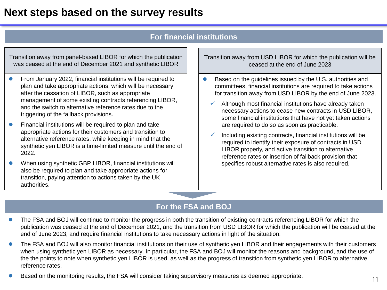## **Next steps based on the survey results**

#### **For financial institutions**

Transition away from panel-based LIBOR for which the publication was ceased at the end of December 2021 and synthetic LIBOR

- **From January 2022, financial institutions will be required to** plan and take appropriate actions, which will be necessary after the cessation of LIBOR, such as appropriate management of some existing contracts referencing LIBOR, and the switch to alternative reference rates due to the triggering of the fallback provisions.
- Financial institutions will be required to plan and take appropriate actions for their customers and transition to alternative reference rates, while keeping in mind that the synthetic yen LIBOR is a time-limited measure until the end of 2022.
- When using synthetic GBP LIBOR, financial institutions will also be required to plan and take appropriate actions for transition, paying attention to actions taken by the UK authorities.

Transition away from USD LIBOR for which the publication will be ceased at the end of June 2023

- Based on the guidelines issued by the U.S. authorities and committees, financial institutions are required to take actions for transition away from USD LIBOR by the end of June 2023.
	- Although most financial institutions have already taken necessary actions to cease new contracts in USD LIBOR, some financial institutions that have not yet taken actions are required to do so as soon as practicable.
	- Including existing contracts, financial institutions will be required to identify their exposure of contracts in USD LIBOR properly, and active transition to alternative reference rates or insertion of fallback provision that specifies robust alternative rates is also required.

### **For the FSA and BOJ**

- **•** The FSA and BOJ will continue to monitor the progress in both the transition of existing contracts referencing LIBOR for which the publication was ceased at the end of December 2021, and the transition from USD LIBOR for which the publication will be ceased at the end of June 2023, and require financial institutions to take necessary actions in light of the situation.
- The FSA and BOJ will also monitor financial institutions on their use of synthetic yen LIBOR and their engagements with their customers when using synthetic yen LIBOR as necessary. In particular, the FSA and BOJ will monitor the reasons and background, and the use of the the points to note when synthetic yen LIBOR is used, as well as the progress of transition from synthetic yen LIBOR to alternative reference rates.
- Based on the monitoring results, the FSA will consider taking supervisory measures as deemed appropriate.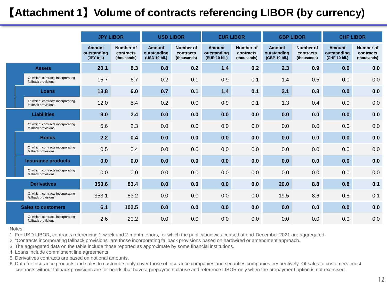# 【**Attachment 1**】**Volume of contracts referencing LIBOR (by currency)**

|  | <b>JPY LIBOR</b>                                         |                                             |                                              | <b>USD LIBOR</b>                              |                                              | <b>EUR LIBOR</b>                              | <b>GBP LIBOR</b>                             |                                               | <b>CHF LIBOR</b>                             |                                               |                                              |  |  |  |
|--|----------------------------------------------------------|---------------------------------------------|----------------------------------------------|-----------------------------------------------|----------------------------------------------|-----------------------------------------------|----------------------------------------------|-----------------------------------------------|----------------------------------------------|-----------------------------------------------|----------------------------------------------|--|--|--|
|  |                                                          | <b>Amount</b><br>outstanding<br>(JPY tril.) | <b>Number of</b><br>contracts<br>(thousands) | <b>Amount</b><br>outstanding<br>(USD 10 bil.) | <b>Number of</b><br>contracts<br>(thousands) | <b>Amount</b><br>outstanding<br>(EUR 10 bil.) | <b>Number of</b><br>contracts<br>(thousands) | <b>Amount</b><br>outstanding<br>(GBP 10 bil.) | <b>Number of</b><br>contracts<br>(thousands) | <b>Amount</b><br>outstanding<br>(CHF 10 bil.) | <b>Number of</b><br>contracts<br>(thousands) |  |  |  |
|  | <b>Assets</b>                                            | 20.1                                        | 8.3                                          | 0.8                                           | 0.2                                          | $1.4$                                         | 0.2                                          | 2.3                                           | 0.9                                          | 0.0                                           | 0.0                                          |  |  |  |
|  | Of which: contracts incorporating<br>fallback provisions | 15.7                                        | 6.7                                          | 0.2                                           | 0.1                                          | 0.9                                           | 0.1                                          | 1.4                                           | 0.5                                          | 0.0                                           | 0.0                                          |  |  |  |
|  | Loans                                                    | 13.8                                        | 6.0                                          | 0.7                                           | 0.1                                          | $1.4$                                         | 0.1                                          | 2.1                                           | 0.8                                          | 0.0                                           | 0.0                                          |  |  |  |
|  | Of which: contracts incorporating<br>fallback provisions | 12.0                                        | 5.4                                          | 0.2                                           | 0.0                                          | 0.9                                           | 0.1                                          | 1.3                                           | 0.4                                          | 0.0                                           | 0.0                                          |  |  |  |
|  | <b>Liabilities</b>                                       | 9.0                                         | 2.4                                          | 0.0                                           | 0.0                                          | 0.0                                           | 0.0                                          | 0.0                                           | 0.0                                          | 0.0                                           | 0.0                                          |  |  |  |
|  | Of which: contracts incorporating<br>fallback provisions | 5.6                                         | 2.3                                          | 0.0                                           | 0.0                                          | 0.0                                           | 0.0                                          | 0.0                                           | 0.0                                          | 0.0                                           | 0.0                                          |  |  |  |
|  | <b>Bonds</b>                                             | 2.2                                         | 0.4                                          | 0.0                                           | 0.0                                          | 0.0                                           | 0.0                                          | 0.0                                           | 0.0                                          | 0.0                                           | 0.0                                          |  |  |  |
|  | Of which: contracts incorporating<br>fallback provisions | 0.5                                         | 0.4                                          | 0.0                                           | 0.0                                          | 0.0                                           | 0.0                                          | 0.0                                           | 0.0                                          | 0.0                                           | 0.0                                          |  |  |  |
|  | <b>Insurance products</b>                                | 0.0                                         | 0.0                                          | 0.0                                           | 0.0                                          | 0.0                                           | 0.0                                          | 0.0                                           | 0.0                                          | 0.0                                           | 0.0                                          |  |  |  |
|  | Of which: contracts incorporating<br>fallback provisions | 0.0                                         | 0.0                                          | 0.0                                           | 0.0                                          | 0.0                                           | 0.0                                          | 0.0                                           | 0.0                                          | 0.0                                           | 0.0                                          |  |  |  |
|  | <b>Derivatives</b>                                       | 353.6                                       | 83.4                                         | 0.0                                           | 0.0                                          | 0.0                                           | 0.0                                          | 20.0                                          | 8.8                                          | 0.8                                           | 0.1                                          |  |  |  |
|  | Of which: contracts incorporating<br>fallback provisions | 353.1                                       | 83.2                                         | 0.0                                           | 0.0                                          | 0.0                                           | 0.0                                          | 19.5                                          | 8.6                                          | 0.8                                           | 0.1                                          |  |  |  |
|  | <b>Sales to customers</b>                                | 6.1                                         | 102.5                                        | 0.0                                           | 0.0                                          | 0.0                                           | 0.0                                          | 0.0                                           | 0.0                                          | 0.0                                           | 0.0                                          |  |  |  |
|  | Of which: contracts incorporating<br>fallback provisions | 2.6                                         | 20.2                                         | 0.0                                           | 0.0                                          | 0.0                                           | 0.0                                          | 0.0                                           | 0.0                                          | 0.0                                           | 0.0                                          |  |  |  |

Notes:

1. For USD LIBOR, contracts referencing 1-week and 2-month tenors, for which the publication was ceased at end-December 2021 are aggregated.

2. "Contracts incorporating fallback provisions" are those incorporating fallback provisions based on hardwired or amendment approach.

3. The aggregated data on the table include those reported as approximate by some financial institutions.

4. Loans include commitment line agreements.

5. Derivatives contracts are based on notional amounts.

6. Data for insurance products and sales to customers only cover those of insurance companies and securities companies, respectively. Of sales to customers, most contracts without fallback provisions are for bonds that have a prepayment clause and reference LIBOR only when the prepayment option is not exercised.